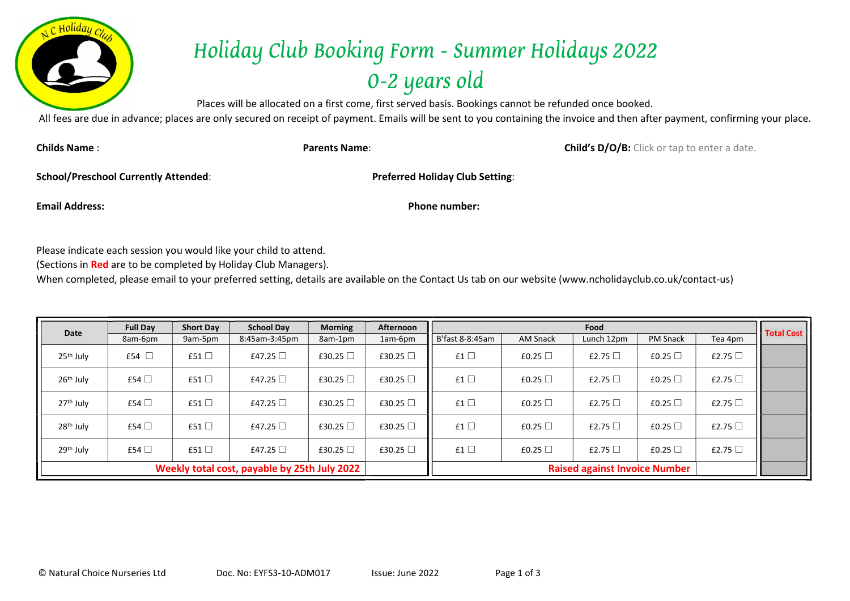

## Holiday Club Booking Form - Summer Holidays 2022 0-2 years old

Places will be allocated on a first come, first served basis. Bookings cannot be refunded once booked.

All fees are due in advance; places are only secured on receipt of payment. Emails will be sent to you containing the invoice and then after payment, confirming your place.

Childs Name : **Child's D/O/B:** Click or tap to enter a date.

School/Preschool Currently Attended: Preferred Holiday Club Setting:

Email Address: Phone number:

Please indicate each session you would like your child to attend.

(Sections in Red are to be completed by Holiday Club Managers).

When completed, please email to your preferred setting, details are available on the Contact Us tab on our website (www.ncholidayclub.co.uk/contact-us)

| Date                                         | <b>Full Day</b> | <b>Short Day</b> | <b>School Dav</b> | <b>Morning</b> | Afternoon     | Food                                 |                 |              |                 |              |                   |
|----------------------------------------------|-----------------|------------------|-------------------|----------------|---------------|--------------------------------------|-----------------|--------------|-----------------|--------------|-------------------|
|                                              | 8am-6pm         | 9am-5pm          | 8:45am-3:45pm     | 8am-1pm        | 1am-6pm       | B'fast 8-8:45am                      | <b>AM Snack</b> | Lunch 12pm   | <b>PM Snack</b> | Tea 4pm      | <b>Total Cost</b> |
| 25 <sup>th</sup> July                        | £54 $\Box$      | £51 $\Box$       | £47.25 $\Box$     | £30.25 $\Box$  | £30.25 $\Box$ | £1 $\Box$                            | £0.25 $\Box$    | £2.75 $\Box$ | £0.25 $\Box$    | £2.75 $\Box$ |                   |
| 26 <sup>th</sup> July                        | £54 $\Box$      | £51 $\square$    | £47.25 $\Box$     | £30.25 $\Box$  | £30.25 $\Box$ | £1 $\square$                         | £0.25 $\Box$    | £2.75 $\Box$ | £0.25 $\Box$    | £2.75 $\Box$ |                   |
| 27 <sup>th</sup> July                        | £54 $\Box$      | £51 $\Box$       | £47.25 $\Box$     | £30.25 $\Box$  | £30.25 $\Box$ | £1 $\Box$                            | £0.25 $\Box$    | £2.75 $\Box$ | £0.25 $\Box$    | £2.75 $\Box$ |                   |
| 28 <sup>th</sup> July                        | £54 $\Box$      | £51 $\square$    | £47.25 $\Box$     | £30.25 $\Box$  | £30.25 $\Box$ | £1 $\square$                         | £0.25 $\Box$    | £2.75 $\Box$ | £0.25 $\Box$    | £2.75 $\Box$ |                   |
| 29 <sup>th</sup> July                        | £54 $\Box$      | £51 $\square$    | £47.25 $\Box$     | £30.25 □       | £30.25 □      | £1 $\square$                         | £0.25 $\Box$    | £2.75 $\Box$ | £0.25 $\Box$    | £2.75 $\Box$ |                   |
| Weekly total cost, payable by 25th July 2022 |                 |                  |                   |                |               | <b>Raised against Invoice Number</b> |                 |              |                 |              |                   |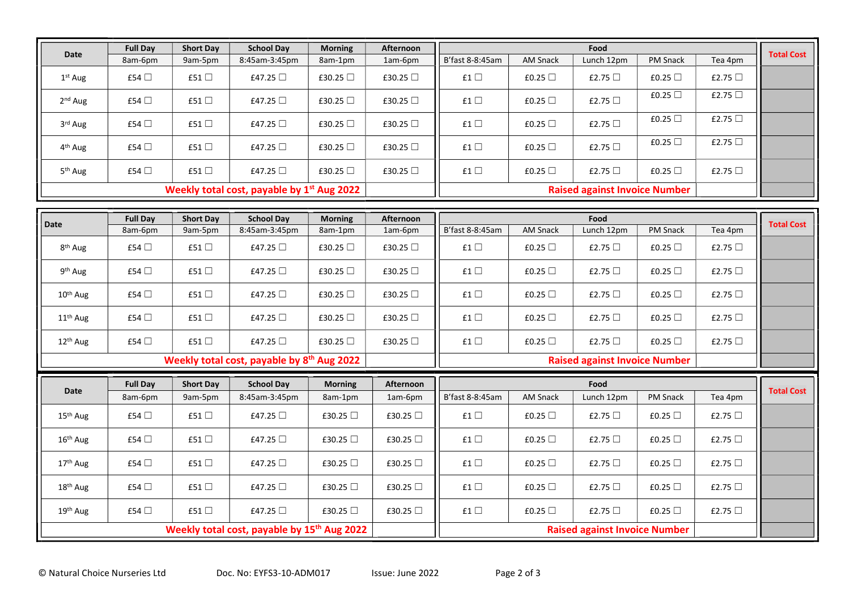| Date                                                   | <b>Full Day</b> | <b>Short Day</b> | <b>School Day</b>                                      | <b>Morning</b> | Afternoon                            |                                      |                 | Food         |              |              | <b>Total Cost</b> |
|--------------------------------------------------------|-----------------|------------------|--------------------------------------------------------|----------------|--------------------------------------|--------------------------------------|-----------------|--------------|--------------|--------------|-------------------|
|                                                        | 8am-6pm         | 9am-5pm          | 8:45am-3:45pm                                          | 8am-1pm        | 1am-6pm                              | B'fast 8-8:45am                      | <b>AM Snack</b> | Lunch 12pm   | PM Snack     | Tea 4pm      |                   |
| 1 <sup>st</sup> Aug                                    | £54 $\Box$      | £51 $\square$    | £47.25 □                                               | £30.25 □       | £30.25 □                             | £1 $\square$                         | £0.25 $\Box$    | £2.75 $\Box$ | £0.25 $\Box$ | £2.75 $\Box$ |                   |
| 2 <sup>nd</sup> Aug                                    | £54 $\Box$      | £51 □            | £47.25 $\Box$                                          | £30.25 □       | £30.25 □                             | £1 $\square$                         | £0.25 $\Box$    | £2.75 $\Box$ | £0.25 □      | £2.75 $\Box$ |                   |
| 3rd Aug                                                | £54 $\Box$      | £51 □            | £47.25 □                                               | £30.25 □       | £30.25 □                             | f1                                   | £0.25 $\Box$    | £2.75 □      | £0.25 □      | £2.75 □      |                   |
| 4 <sup>th</sup> Aug                                    | £54 $\Box$      | £51 □            | £47.25 □                                               | £30.25 $\Box$  | £30.25 □                             | f1                                   | £0.25 $\Box$    | £2.75 $\Box$ | £0.25 $\Box$ | £2.75 $\Box$ |                   |
| 5 <sup>th</sup> Aug                                    | £54 □           | £51 $\Box$       | £47.25 □                                               | £30.25 □       | £30.25 □                             | £1 $\square$                         | £0.25 □         | £2.75 □      | £0.25 □      | £2.75 $\Box$ |                   |
| Weekly total cost, payable by 1 <sup>st</sup> Aug 2022 |                 |                  |                                                        |                | <b>Raised against Invoice Number</b> |                                      |                 |              |              |              |                   |
|                                                        |                 |                  |                                                        |                |                                      |                                      |                 |              |              |              |                   |
| Date                                                   | <b>Full Day</b> | <b>Short Day</b> | <b>School Day</b>                                      | <b>Morning</b> | <b>Afternoon</b>                     |                                      |                 | Food         |              |              | <b>Total Cost</b> |
|                                                        | 8am-6pm         | 9am-5pm          | 8:45am-3:45pm                                          | 8am-1pm        | 1am-6pm                              | B'fast 8-8:45am                      | <b>AM Snack</b> | Lunch 12pm   | PM Snack     | Tea 4pm      |                   |
| 8 <sup>th</sup> Aug                                    | £54 $\Box$      | £51 $\square$    | £47.25 □                                               | £30.25 □       | £30.25 □                             | f1                                   | £0.25 $\Box$    | £2.75 $\Box$ | £0.25 $\Box$ | £2.75 $\Box$ |                   |
| 9 <sup>th</sup> Aug                                    | £54 $\Box$      | £51 □            | £47.25 □                                               | £30.25 $\Box$  | £30.25 □                             | £1 $\square$                         | £0.25 $\Box$    | £2.75 $\Box$ | £0.25 $\Box$ | £2.75 $\Box$ |                   |
| 10 <sup>th</sup> Aug                                   | £54 □           | £51 □            | £47.25 □                                               | £30.25 $\Box$  | £30.25 □                             | £1 $\square$                         | £0.25 $\Box$    | £2.75 $\Box$ | £0.25 $\Box$ | £2.75 $\Box$ |                   |
| 11 <sup>th</sup> Aug                                   | £54 $\Box$      | £51 □            | £47.25 □                                               | £30.25 □       | £30.25 □                             | f1                                   | £0.25 □         | £2.75 $\Box$ | £0.25 $\Box$ | £2.75 $\Box$ |                   |
| 12 <sup>th</sup> Aug                                   | £54 □           | £51 $\Box$       | £47.25 □                                               | £30.25 □       | £30.25 □                             | £1 $\square$                         | £0.25 □         | £2.75 □      | £0.25 □      | £2.75 □      |                   |
|                                                        |                 |                  | Weekly total cost, payable by 8 <sup>th</sup> Aug 2022 |                |                                      | <b>Raised against Invoice Number</b> |                 |              |              |              |                   |
|                                                        | <b>Full Day</b> | <b>Short Day</b> | <b>School Day</b>                                      | <b>Morning</b> | Afternoon                            |                                      |                 | Food         |              |              |                   |
| <b>Date</b>                                            | 8am-6pm         | 9am-5pm          | 8:45am-3:45pm                                          | 8am-1pm        | 1am-6pm                              | B'fast 8-8:45am                      | <b>AM Snack</b> | Lunch 12pm   | PM Snack     | Tea 4pm      | <b>Total Cost</b> |
| 15 <sup>th</sup> Aug                                   | £54 $\Box$      | £51 $\Box$       | £47.25 $\Box$                                          | £30.25 $\Box$  | £30.25 □                             | £1 $\square$                         | £0.25 $\Box$    | £2.75 $\Box$ | £0.25 $\Box$ | £2.75 $\Box$ |                   |
| 16 <sup>th</sup> Aug                                   | £54 $\Box$      | £51 $\Box$       | £47.25 $\Box$                                          | £30.25 □       | £30.25 □                             | £1 $\square$                         | £0.25 $\Box$    | £2.75 $\Box$ | £0.25 $\Box$ | £2.75 $\Box$ |                   |
|                                                        |                 |                  |                                                        |                |                                      |                                      |                 |              |              |              |                   |
| 17 <sup>th</sup> Aug                                   | £54 □           | £51 □            | £47.25 □                                               | £30.25 □       | £30.25 □                             | f1                                   | £0.25 □         | £2.75 □      | £0.25 □      | £2.75 □      |                   |
| 18th Aug                                               | £54 $\Box$      | £51 $\Box$       | £47.25 □                                               | £30.25 □       | £30.25 □                             | £1 $\Box$                            | £0.25 $\Box$    | £2.75 $\Box$ | £0.25 $\Box$ | £2.75 □      |                   |
| 19th Aug                                               | £54 $\Box$      | £51 $\Box$       | £47.25 □                                               | £30.25 □       | £30.25 □                             | £1 $\square$                         | £0.25 $\Box$    | £2.75 $\Box$ | £0.25 □      | £2.75 □      |                   |

Weekly total cost, payable by 15<sup>th</sup> Aug 2022

**Raised against Invoice Number**